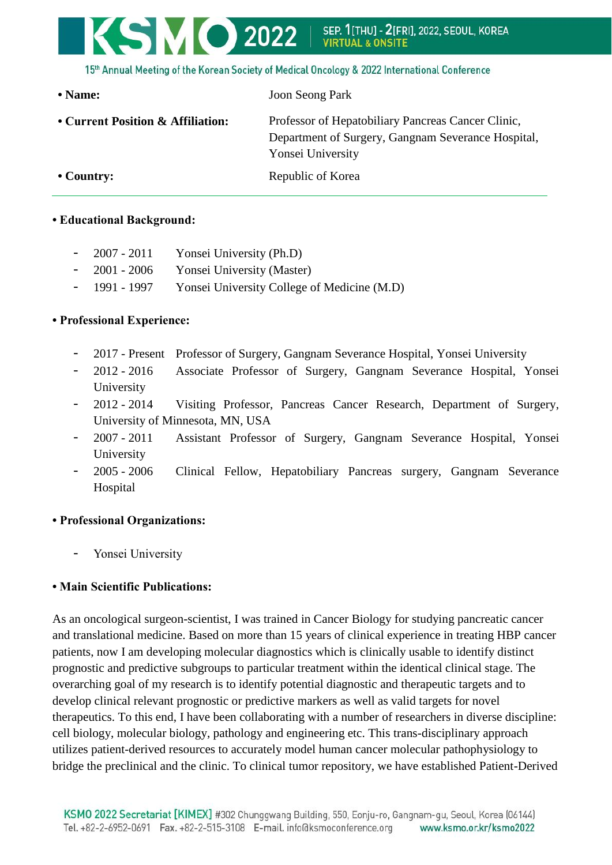# KSMO 2022 SEP. 11THUI - 21FRII. 2022. SEOUL. KOREA **VIRTUA**

15th Annual Meeting of the Korean Society of Medical Oncology & 2022 International Conference

| • Name:                           | <b>Joon Seong Park</b>                                                                                                        |
|-----------------------------------|-------------------------------------------------------------------------------------------------------------------------------|
| • Current Position & Affiliation: | Professor of Hepatobiliary Pancreas Cancer Clinic,<br>Department of Surgery, Gangnam Severance Hospital,<br>Yonsei University |
| $\cdot$ Country:                  | Republic of Korea                                                                                                             |

#### **• Educational Background:**

- 2007 2011 Yonsei University (Ph.D)
- 2001 2006 Yonsei University (Master)
- 1991 1997 Yonsei University College of Medicine (M.D)

### **• Professional Experience:**

- 2017 Present Professor of Surgery, Gangnam Severance Hospital, Yonsei University
- 2012 2016 Associate Professor of Surgery, Gangnam Severance Hospital, Yonsei University
- 2012 2014 Visiting Professor, Pancreas Cancer Research, Department of Surgery, University of Minnesota, MN, USA
- 2007 2011 Assistant Professor of Surgery, Gangnam Severance Hospital, Yonsei University
- 2005 2006 Clinical Fellow, Hepatobiliary Pancreas surgery, Gangnam Severance Hospital

### **• Professional Organizations:**

Yonsei University

## **• Main Scientific Publications:**

As an oncological surgeon-scientist, I was trained in Cancer Biology for studying pancreatic cancer and translational medicine. Based on more than 15 years of clinical experience in treating HBP cancer patients, now I am developing molecular diagnostics which is clinically usable to identify distinct prognostic and predictive subgroups to particular treatment within the identical clinical stage. The overarching goal of my research is to identify potential diagnostic and therapeutic targets and to develop clinical relevant prognostic or predictive markers as well as valid targets for novel therapeutics. To this end, I have been collaborating with a number of researchers in diverse discipline: cell biology, molecular biology, pathology and engineering etc. This trans-disciplinary approach utilizes patient-derived resources to accurately model human cancer molecular pathophysiology to bridge the preclinical and the clinic. To clinical tumor repository, we have established Patient-Derived